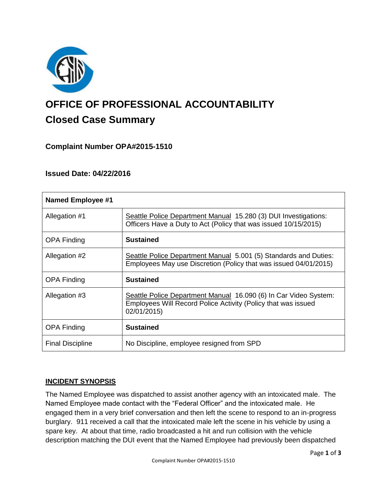

# **OFFICE OF PROFESSIONAL ACCOUNTABILITY Closed Case Summary**

# **Complaint Number OPA#2015-1510**

## **Issued Date: 04/22/2016**

| <b>Named Employee #1</b> |                                                                                                                                                  |
|--------------------------|--------------------------------------------------------------------------------------------------------------------------------------------------|
| Allegation #1            | Seattle Police Department Manual 15.280 (3) DUI Investigations:<br>Officers Have a Duty to Act (Policy that was issued 10/15/2015)               |
| <b>OPA Finding</b>       | <b>Sustained</b>                                                                                                                                 |
| Allegation #2            | Seattle Police Department Manual 5.001 (5) Standards and Duties:<br>Employees May use Discretion (Policy that was issued 04/01/2015)             |
| OPA Finding              | <b>Sustained</b>                                                                                                                                 |
| Allegation #3            | Seattle Police Department Manual 16.090 (6) In Car Video System:<br>Employees Will Record Police Activity (Policy that was issued<br>02/01/2015) |
| <b>OPA Finding</b>       | <b>Sustained</b>                                                                                                                                 |
| <b>Final Discipline</b>  | No Discipline, employee resigned from SPD                                                                                                        |

## **INCIDENT SYNOPSIS**

The Named Employee was dispatched to assist another agency with an intoxicated male. The Named Employee made contact with the "Federal Officer" and the intoxicated male. He engaged them in a very brief conversation and then left the scene to respond to an in-progress burglary. 911 received a call that the intoxicated male left the scene in his vehicle by using a spare key. At about that time, radio broadcasted a hit and run collision with the vehicle description matching the DUI event that the Named Employee had previously been dispatched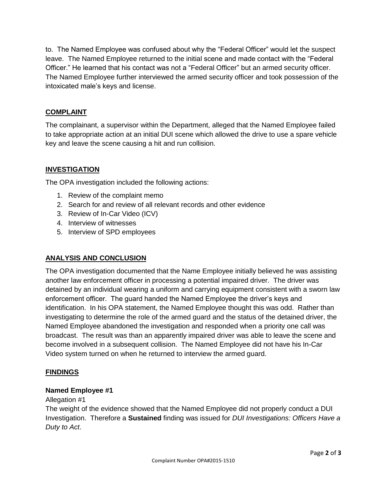to. The Named Employee was confused about why the "Federal Officer" would let the suspect leave. The Named Employee returned to the initial scene and made contact with the "Federal Officer." He learned that his contact was not a "Federal Officer" but an armed security officer. The Named Employee further interviewed the armed security officer and took possession of the intoxicated male's keys and license.

## **COMPLAINT**

The complainant, a supervisor within the Department, alleged that the Named Employee failed to take appropriate action at an initial DUI scene which allowed the drive to use a spare vehicle key and leave the scene causing a hit and run collision.

# **INVESTIGATION**

The OPA investigation included the following actions:

- 1. Review of the complaint memo
- 2. Search for and review of all relevant records and other evidence
- 3. Review of In-Car Video (ICV)
- 4. Interview of witnesses
- 5. Interview of SPD employees

## **ANALYSIS AND CONCLUSION**

The OPA investigation documented that the Name Employee initially believed he was assisting another law enforcement officer in processing a potential impaired driver. The driver was detained by an individual wearing a uniform and carrying equipment consistent with a sworn law enforcement officer. The guard handed the Named Employee the driver's keys and identification. In his OPA statement, the Named Employee thought this was odd. Rather than investigating to determine the role of the armed guard and the status of the detained driver, the Named Employee abandoned the investigation and responded when a priority one call was broadcast. The result was than an apparently impaired driver was able to leave the scene and become involved in a subsequent collision. The Named Employee did not have his In-Car Video system turned on when he returned to interview the armed guard.

## **FINDINGS**

## **Named Employee #1**

## Allegation #1

The weight of the evidence showed that the Named Employee did not properly conduct a DUI Investigation. Therefore a **Sustained** finding was issued for *DUI Investigations: Officers Have a Duty to Act*.